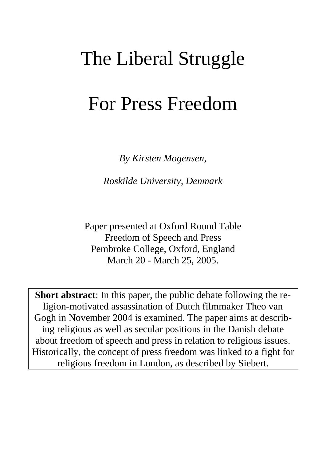# The Liberal Struggle

# For Press Freedom

*By Kirsten Mogensen,* 

*Roskilde University, Denmark* 

Paper presented at Oxford Round Table Freedom of Speech and Press Pembroke College, Oxford, England March 20 - March 25, 2005.

**Short abstract**: In this paper, the public debate following the religion-motivated assassination of Dutch filmmaker Theo van Gogh in November 2004 is examined. The paper aims at describing religious as well as secular positions in the Danish debate about freedom of speech and press in relation to religious issues. Historically, the concept of press freedom was linked to a fight for religious freedom in London, as described by Siebert.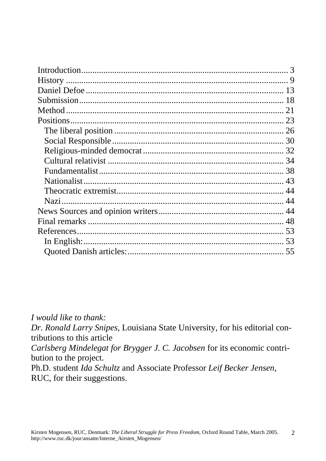| 13 |
|----|
|    |
|    |
|    |
|    |
|    |
|    |
|    |
|    |
|    |
|    |
|    |
|    |
|    |
|    |
|    |
|    |
|    |

I would like to thank: Dr. Ronald Larry Snipes, Louisiana State University, for his editorial contributions to this article Carlsberg Mindelegat for Brygger J. C. Jacobsen for its economic contribution to the project.

Ph.D. student Ida Schultz and Associate Professor Leif Becker Jensen, RUC, for their suggestions.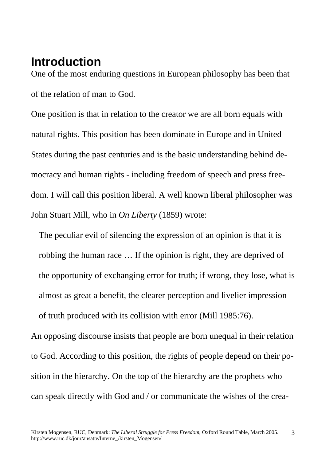# <span id="page-2-0"></span>**Introduction**

One of the most enduring questions in European philosophy has been that of the relation of man to God.

One position is that in relation to the creator we are all born equals with natural rights. This position has been dominate in Europe and in United States during the past centuries and is the basic understanding behind democracy and human rights - including freedom of speech and press freedom. I will call this position liberal. A well known liberal philosopher was John Stuart Mill, who in *On Liberty* (1859) wrote:

 The peculiar evil of silencing the expression of an opinion is that it is robbing the human race … If the opinion is right, they are deprived of the opportunity of exchanging error for truth; if wrong, they lose, what is almost as great a benefit, the clearer perception and livelier impression of truth produced with its collision with error (Mill 1985:76).

An opposing discourse insists that people are born unequal in their relation to God. According to this position, the rights of people depend on their position in the hierarchy. On the top of the hierarchy are the prophets who can speak directly with God and / or communicate the wishes of the crea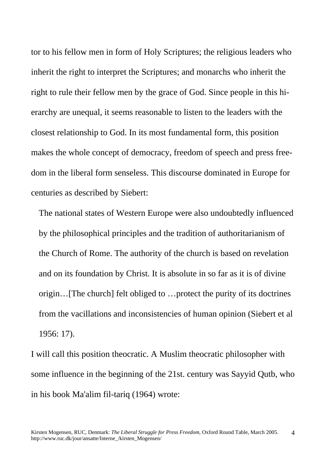tor to his fellow men in form of Holy Scriptures; the religious leaders who inherit the right to interpret the Scriptures; and monarchs who inherit the right to rule their fellow men by the grace of God. Since people in this hierarchy are unequal, it seems reasonable to listen to the leaders with the closest relationship to God. In its most fundamental form, this position makes the whole concept of democracy, freedom of speech and press freedom in the liberal form senseless. This discourse dominated in Europe for centuries as described by Siebert:

 The national states of Western Europe were also undoubtedly influenced by the philosophical principles and the tradition of authoritarianism of the Church of Rome. The authority of the church is based on revelation and on its foundation by Christ. It is absolute in so far as it is of divine origin…[The church] felt obliged to …protect the purity of its doctrines from the vacillations and inconsistencies of human opinion (Siebert et al 1956: 17).

I will call this position theocratic. A Muslim theocratic philosopher with some influence in the beginning of the 21st. century was Sayyid Qutb, who in his book Ma'alim fil-tariq (1964) wrote: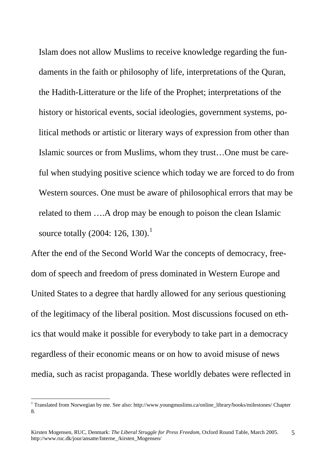Islam does not allow Muslims to receive knowledge regarding the fun daments in the faith or philosophy of life, interpretations of the Quran, the Hadith-Litterature or the life of the Prophet; interpretations of the history or historical events, social ideologies, government systems, po litical methods or artistic or literary ways of expression from other than Islamic sources or from Muslims, whom they trust…One must be care ful when studying positive science which today we are forced to do from Western sources. One must be aware of philosophical errors that may be related to them ….A drop may be enough to poison the clean Islamic source totally  $(2004: 126, 130).$  $(2004: 126, 130).$  $(2004: 126, 130).$ 

After the end of the Second World War the concepts of democracy, freedom of speech and freedom of press dominated in Western Europe and United States to a degree that hardly allowed for any serious questioning of the legitimacy of the liberal position. Most discussions focused on ethics that would make it possible for everybody to take part in a democracy regardless of their economic means or on how to avoid misuse of news media, such as racist propaganda. These worldly debates were reflected in

 $\overline{a}$ 

<span id="page-4-0"></span><sup>&</sup>lt;sup>1</sup> Translated from Norwegian by me. See also: http://www.youngmuslims.ca/online\_library/books/milestones/ Chapter 8.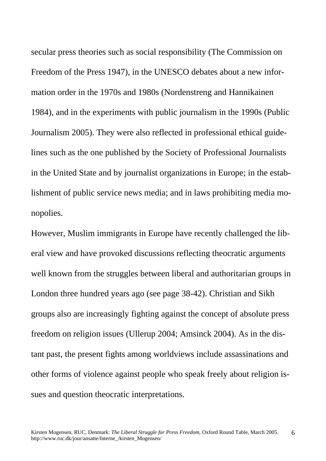secular press theories such as social responsibility (The Commission on Freedom of the Press 1947), in the UNESCO debates about a new information order in the 1970s and 1980s (Nordenstreng and Hannikainen 1984), and in the experiments with public journalism in the 1990s (Public Journalism 2005). They were also reflected in professional ethical guidelines such as the one published by the Society of Professional Journalists in the United State and by journalist organizations in Europe; in the establishment of public service news media; and in laws prohibiting media monopolies.

However, Muslim immigrants in Europe have recently challenged the liberal view and have provoked discussions reflecting theocratic arguments well known from the struggles between liberal and authoritarian groups in London three hundred years ago (see page 38-42). Christian and Sikh groups also are increasingly fighting against the concept of absolute press freedom on religion issues (Ullerup 2004; Amsinck 2004). As in the distant past, the present fights among worldviews include assassinations and other forms of violence against people who speak freely about religion issues and question theocratic interpretations.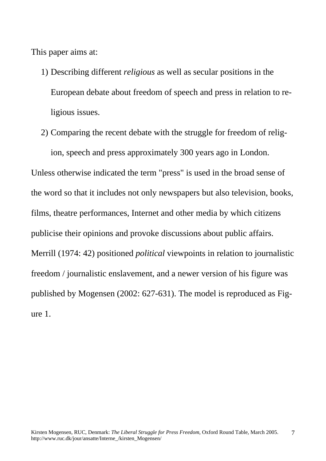This paper aims at:

- 1) Describing different *religious* as well as secular positions in the European debate about freedom of speech and press in relation to religious issues.
- 2) Comparing the recent debate with the struggle for freedom of religion, speech and press approximately 300 years ago in London.

Unless otherwise indicated the term "press" is used in the broad sense of the word so that it includes not only newspapers but also television, books, films, theatre performances, Internet and other media by which citizens publicise their opinions and provoke discussions about public affairs. Merrill (1974: 42) positioned *political* viewpoints in relation to journalistic freedom / journalistic enslavement, and a newer version of his figure was published by Mogensen (2002: 627-631). The model is reproduced as Figure 1.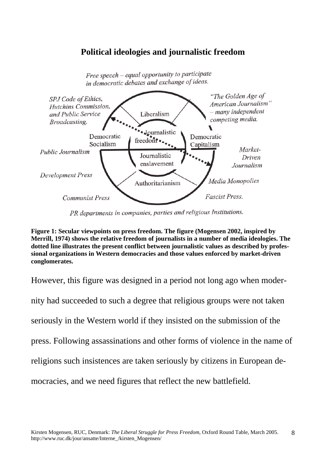### **Political ideologies and journalistic freedom**



Free speech - equal opportunity to participate in democratic debates and exchange of ideas.

PR departments in companies, parties and religious Institutions.

**Figure 1: Secular viewpoints on press freedom. The figure (Mogensen 2002, inspired by Merrill, 1974) shows the relative freedom of journalists in a number of media ideologies. The dotted line illustrates the present conflict between journalistic values as described by professional organizations in Western democracies and those values enforced by market-driven conglomerates.** 

However, this figure was designed in a period not long ago when moder-

nity had succeeded to such a degree that religious groups were not taken

seriously in the Western world if they insisted on the submission of the

press. Following assassinations and other forms of violence in the name of

religions such insistences are taken seriously by citizens in European de-

mocracies, and we need figures that reflect the new battlefield.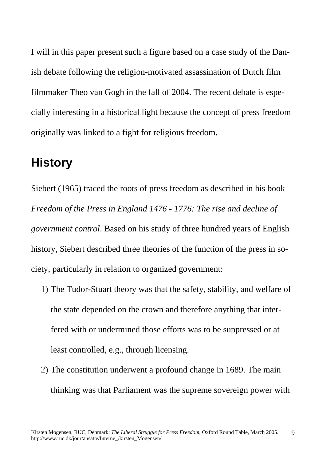<span id="page-8-0"></span>I will in this paper present such a figure based on a case study of the Danish debate following the religion-motivated assassination of Dutch film filmmaker Theo van Gogh in the fall of 2004. The recent debate is especially interesting in a historical light because the concept of press freedom originally was linked to a fight for religious freedom.

# **History**

Siebert (1965) traced the roots of press freedom as described in his book *Freedom of the Press in England 1476 - 1776: The rise and decline of government control*. Based on his study of three hundred years of English history, Siebert described three theories of the function of the press in society, particularly in relation to organized government:

- 1) The Tudor-Stuart theory was that the safety, stability, and welfare of the state depended on the crown and therefore anything that interfered with or undermined those efforts was to be suppressed or at least controlled, e.g., through licensing.
- 2) The constitution underwent a profound change in 1689. The main thinking was that Parliament was the supreme sovereign power with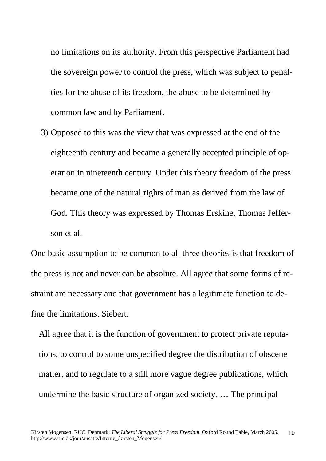no limitations on its authority. From this perspective Parliament had the sovereign power to control the press, which was subject to penalties for the abuse of its freedom, the abuse to be determined by common law and by Parliament.

3) Opposed to this was the view that was expressed at the end of the eighteenth century and became a generally accepted principle of operation in nineteenth century. Under this theory freedom of the press became one of the natural rights of man as derived from the law of God. This theory was expressed by Thomas Erskine, Thomas Jefferson et al.

One basic assumption to be common to all three theories is that freedom of the press is not and never can be absolute. All agree that some forms of restraint are necessary and that government has a legitimate function to define the limitations. Siebert:

 All agree that it is the function of government to protect private reputa tions, to control to some unspecified degree the distribution of obscene matter, and to regulate to a still more vague degree publications, which undermine the basic structure of organized society. … The principal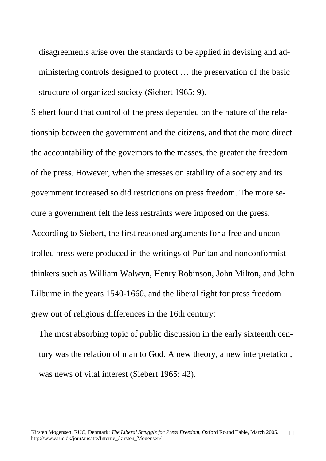disagreements arise over the standards to be applied in devising and ad ministering controls designed to protect … the preservation of the basic structure of organized society (Siebert 1965: 9).

Siebert found that control of the press depended on the nature of the relationship between the government and the citizens, and that the more direct the accountability of the governors to the masses, the greater the freedom of the press. However, when the stresses on stability of a society and its government increased so did restrictions on press freedom. The more secure a government felt the less restraints were imposed on the press. According to Siebert, the first reasoned arguments for a free and uncontrolled press were produced in the writings of Puritan and nonconformist thinkers such as William Walwyn, Henry Robinson, John Milton, and John Lilburne in the years 1540-1660, and the liberal fight for press freedom grew out of religious differences in the 16th century:

 The most absorbing topic of public discussion in the early sixteenth cen tury was the relation of man to God. A new theory, a new interpretation, was news of vital interest (Siebert 1965: 42).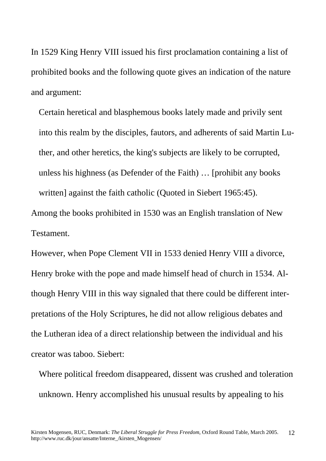In 1529 King Henry VIII issued his first proclamation containing a list of prohibited books and the following quote gives an indication of the nature and argument:

 Certain heretical and blasphemous books lately made and privily sent into this realm by the disciples, fautors, and adherents of said Martin Lu ther, and other heretics, the king's subjects are likely to be corrupted, unless his highness (as Defender of the Faith) … [prohibit any books written] against the faith catholic (Quoted in Siebert 1965:45).

Among the books prohibited in 1530 was an English translation of New Testament.

However, when Pope Clement VII in 1533 denied Henry VIII a divorce, Henry broke with the pope and made himself head of church in 1534. Although Henry VIII in this way signaled that there could be different interpretations of the Holy Scriptures, he did not allow religious debates and the Lutheran idea of a direct relationship between the individual and his creator was taboo. Siebert:

 Where political freedom disappeared, dissent was crushed and toleration unknown. Henry accomplished his unusual results by appealing to his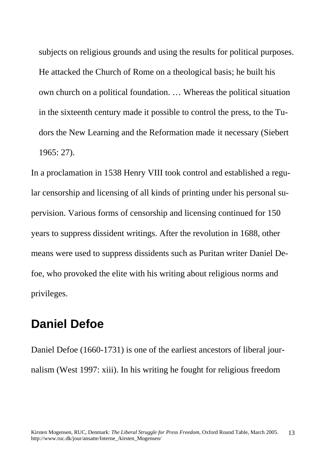<span id="page-12-0"></span> subjects on religious grounds and using the results for political purposes. He attacked the Church of Rome on a theological basis; he built his own church on a political foundation. … Whereas the political situation in the sixteenth century made it possible to control the press, to the Tu dors the New Learning and the Reformation made it necessary (Siebert 1965: 27).

In a proclamation in 1538 Henry VIII took control and established a regular censorship and licensing of all kinds of printing under his personal supervision. Various forms of censorship and licensing continued for 150 years to suppress dissident writings. After the revolution in 1688, other means were used to suppress dissidents such as Puritan writer Daniel Defoe, who provoked the elite with his writing about religious norms and privileges.

# **Daniel Defoe**

Daniel Defoe (1660-1731) is one of the earliest ancestors of liberal journalism (West 1997: xiii). In his writing he fought for religious freedom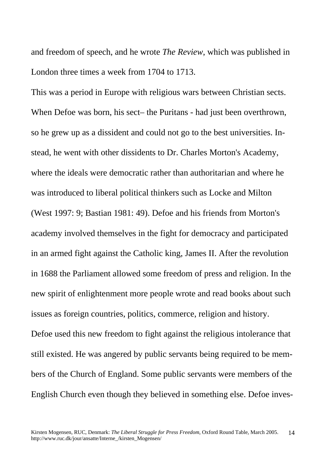and freedom of speech, and he wrote *The Review*, which was published in London three times a week from 1704 to 1713.

This was a period in Europe with religious wars between Christian sects. When Defoe was born, his sect– the Puritans - had just been overthrown, so he grew up as a dissident and could not go to the best universities. Instead, he went with other dissidents to Dr. Charles Morton's Academy, where the ideals were democratic rather than authoritarian and where he was introduced to liberal political thinkers such as Locke and Milton (West 1997: 9; Bastian 1981: 49). Defoe and his friends from Morton's academy involved themselves in the fight for democracy and participated in an armed fight against the Catholic king, James II. After the revolution in 1688 the Parliament allowed some freedom of press and religion. In the new spirit of enlightenment more people wrote and read books about such issues as foreign countries, politics, commerce, religion and history. Defoe used this new freedom to fight against the religious intolerance that still existed. He was angered by public servants being required to be members of the Church of England. Some public servants were members of the English Church even though they believed in something else. Defoe inves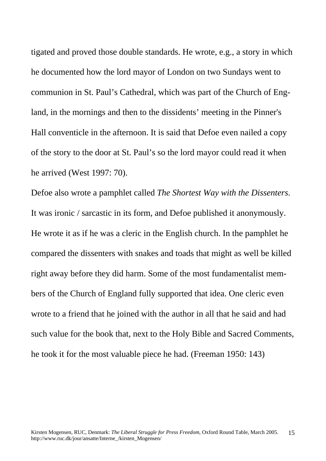tigated and proved those double standards. He wrote, e.g., a story in which he documented how the lord mayor of London on two Sundays went to communion in St. Paul's Cathedral, which was part of the Church of England, in the mornings and then to the dissidents' meeting in the Pinner's Hall conventicle in the afternoon. It is said that Defoe even nailed a copy of the story to the door at St. Paul's so the lord mayor could read it when he arrived (West 1997: 70).

Defoe also wrote a pamphlet called *The Shortest Way with the Dissenters*. It was ironic / sarcastic in its form, and Defoe published it anonymously. He wrote it as if he was a cleric in the English church. In the pamphlet he compared the dissenters with snakes and toads that might as well be killed right away before they did harm. Some of the most fundamentalist members of the Church of England fully supported that idea. One cleric even wrote to a friend that he joined with the author in all that he said and had such value for the book that, next to the Holy Bible and Sacred Comments, he took it for the most valuable piece he had. (Freeman 1950: 143)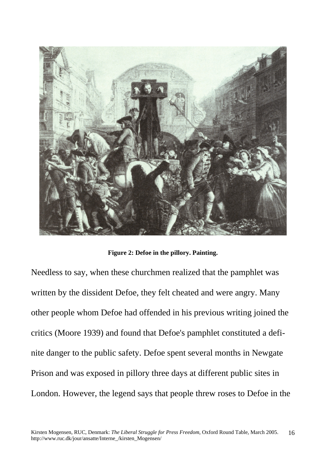

**Figure 2: Defoe in the pillory. Painting.** 

Needless to say, when these churchmen realized that the pamphlet was written by the dissident Defoe, they felt cheated and were angry. Many other people whom Defoe had offended in his previous writing joined the critics (Moore 1939) and found that Defoe's pamphlet constituted a definite danger to the public safety. Defoe spent several months in Newgate Prison and was exposed in pillory three days at different public sites in London. However, the legend says that people threw roses to Defoe in the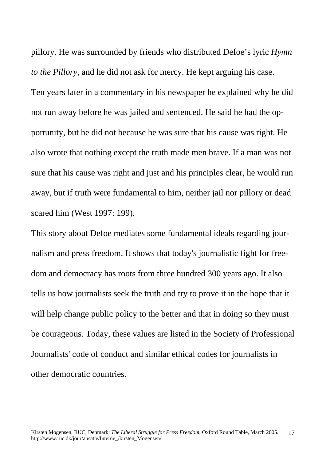pillory. He was surrounded by friends who distributed Defoe's lyric *Hymn to the Pillory,* and he did not ask for mercy. He kept arguing his case. Ten years later in a commentary in his newspaper he explained why he did not run away before he was jailed and sentenced. He said he had the opportunity, but he did not because he was sure that his cause was right. He also wrote that nothing except the truth made men brave. If a man was not sure that his cause was right and just and his principles clear, he would run away, but if truth were fundamental to him, neither jail nor pillory or dead scared him (West 1997: 199).

This story about Defoe mediates some fundamental ideals regarding journalism and press freedom. It shows that today's journalistic fight for freedom and democracy has roots from three hundred 300 years ago. It also tells us how journalists seek the truth and try to prove it in the hope that it will help change public policy to the better and that in doing so they must be courageous. Today, these values are listed in the Society of Professional Journalists' code of conduct and similar ethical codes for journalists in other democratic countries.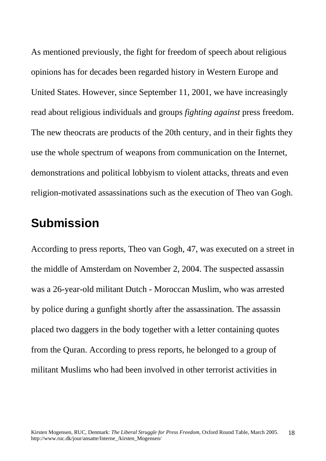<span id="page-17-0"></span>As mentioned previously, the fight for freedom of speech about religious opinions has for decades been regarded history in Western Europe and United States. However, since September 11, 2001, we have increasingly read about religious individuals and groups *fighting against* press freedom. The new theocrats are products of the 20th century, and in their fights they use the whole spectrum of weapons from communication on the Internet, demonstrations and political lobbyism to violent attacks, threats and even religion-motivated assassinations such as the execution of Theo van Gogh.

# **Submission**

According to press reports, Theo van Gogh, 47, was executed on a street in the middle of Amsterdam on November 2, 2004. The suspected assassin was a 26-year-old militant Dutch - Moroccan Muslim, who was arrested by police during a gunfight shortly after the assassination. The assassin placed two daggers in the body together with a letter containing quotes from the Quran. According to press reports, he belonged to a group of militant Muslims who had been involved in other terrorist activities in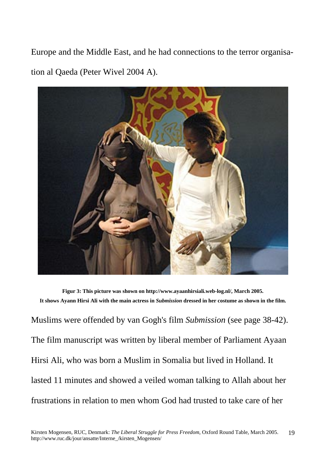Europe and the Middle East, and he had connections to the terror organisation al Qaeda (Peter Wivel 2004 A).



**Figur 3: This picture was shown on http://www.ayaanhirsiali.web-log.nl/, March 2005. It shows Ayann Hirsi Ali with the main actress in** *Submission* **dressed in her costume as shown in the film.**  Muslims were offended by van Gogh's film *Submission* (see page 38-42). The film manuscript was written by liberal member of Parliament Ayaan Hirsi Ali, who was born a Muslim in Somalia but lived in Holland. It lasted 11 minutes and showed a veiled woman talking to Allah about her frustrations in relation to men whom God had trusted to take care of her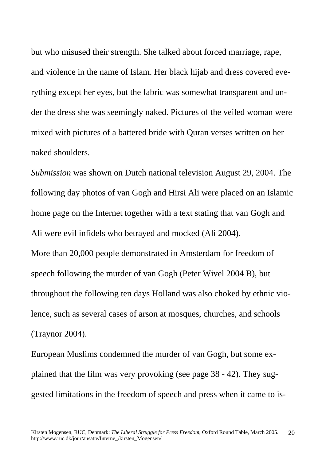but who misused their strength. She talked about forced marriage, rape, and violence in the name of Islam. Her black hijab and dress covered everything except her eyes, but the fabric was somewhat transparent and under the dress she was seemingly naked. Pictures of the veiled woman were mixed with pictures of a battered bride with Quran verses written on her naked shoulders.

*Submission* was shown on Dutch national television August 29, 2004. The following day photos of van Gogh and Hirsi Ali were placed on an Islamic home page on the Internet together with a text stating that van Gogh and Ali were evil infidels who betrayed and mocked (Ali 2004).

More than 20,000 people demonstrated in Amsterdam for freedom of speech following the murder of van Gogh (Peter Wivel 2004 B), but throughout the following ten days Holland was also choked by ethnic violence, such as several cases of arson at mosques, churches, and schools (Traynor 2004).

European Muslims condemned the murder of van Gogh, but some explained that the film was very provoking (see page 38 - 42). They suggested limitations in the freedom of speech and press when it came to is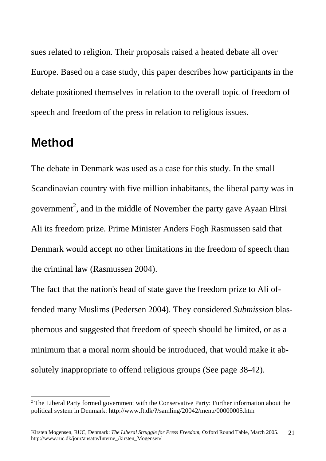<span id="page-20-0"></span>sues related to religion. Their proposals raised a heated debate all over Europe. Based on a case study, this paper describes how participants in the debate positioned themselves in relation to the overall topic of freedom of speech and freedom of the press in relation to religious issues.

### **Method**

 $\overline{a}$ 

The debate in Denmark was used as a case for this study. In the small Scandinavian country with five million inhabitants, the liberal party was in government<sup>[2](#page-20-1)</sup>, and in the middle of November the party gave Ayaan Hirsi Ali its freedom prize. Prime Minister Anders Fogh Rasmussen said that Denmark would accept no other limitations in the freedom of speech than the criminal law (Rasmussen 2004).

The fact that the nation's head of state gave the freedom prize to Ali offended many Muslims (Pedersen 2004). They considered *Submission* blasphemous and suggested that freedom of speech should be limited, or as a minimum that a moral norm should be introduced, that would make it absolutely inappropriate to offend religious groups (See page 38-42).

<span id="page-20-1"></span><sup>&</sup>lt;sup>2</sup> The Liberal Party formed government with the Conservative Party: Further information about the political system in Denmark: http://www.ft.dk/?/samling/20042/menu/00000005.htm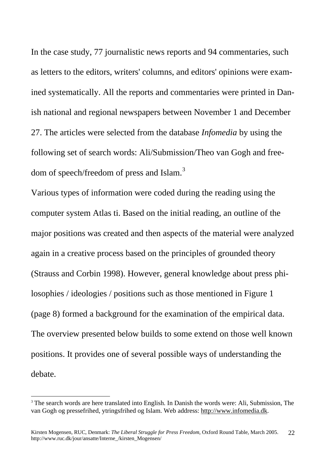In the case study, 77 journalistic news reports and 94 commentaries, such as letters to the editors, writers' columns, and editors' opinions were examined systematically. All the reports and commentaries were printed in Danish national and regional newspapers between November 1 and December 27. The articles were selected from the database *Infomedia* by using the following set of search words: Ali/Submission/Theo van Gogh and free-dom of speech/freedom of press and Islam.<sup>[3](#page-21-0)</sup>

Various types of information were coded during the reading using the computer system Atlas ti. Based on the initial reading, an outline of the major positions was created and then aspects of the material were analyzed again in a creative process based on the principles of grounded theory (Strauss and Corbin 1998). However, general knowledge about press philosophies / ideologies / positions such as those mentioned in Figure 1 (page 8) formed a background for the examination of the empirical data. The overview presented below builds to some extend on those well known positions. It provides one of several possible ways of understanding the debate.

 $\overline{a}$ 

<span id="page-21-0"></span><sup>&</sup>lt;sup>3</sup> The search words are here translated into English. In Danish the words were: Ali, Submission, The van Gogh og pressefrihed, ytringsfrihed og Islam. Web address: http://www.infomedia.dk.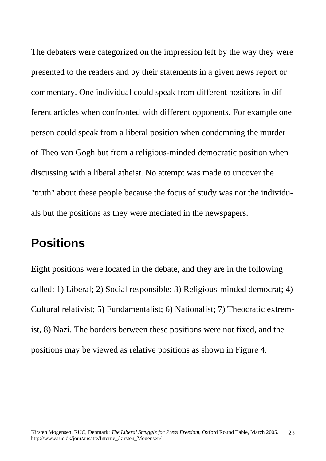<span id="page-22-0"></span>The debaters were categorized on the impression left by the way they were presented to the readers and by their statements in a given news report or commentary. One individual could speak from different positions in different articles when confronted with different opponents. For example one person could speak from a liberal position when condemning the murder of Theo van Gogh but from a religious-minded democratic position when discussing with a liberal atheist. No attempt was made to uncover the "truth" about these people because the focus of study was not the individuals but the positions as they were mediated in the newspapers.

### **Positions**

Eight positions were located in the debate, and they are in the following called: 1) Liberal; 2) Social responsible; 3) Religious-minded democrat; 4) Cultural relativist; 5) Fundamentalist; 6) Nationalist; 7) Theocratic extremist, 8) Nazi. The borders between these positions were not fixed, and the positions may be viewed as relative positions as shown in Figure 4.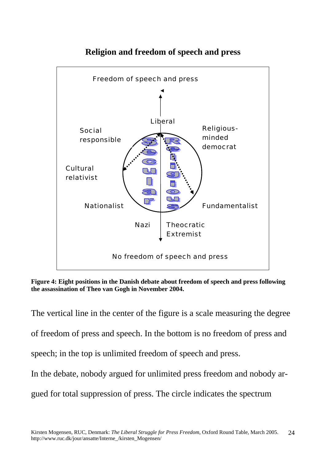

### **Religion and freedom of speech and press**

**Figure 4: Eight positions in the Danish debate about freedom of speech and press following the assassination of Theo van Gogh in November 2004.** 

The vertical line in the center of the figure is a scale measuring the degree of freedom of press and speech. In the bottom is no freedom of press and speech; in the top is unlimited freedom of speech and press. In the debate, nobody argued for unlimited press freedom and nobody ar-

gued for total suppression of press. The circle indicates the spectrum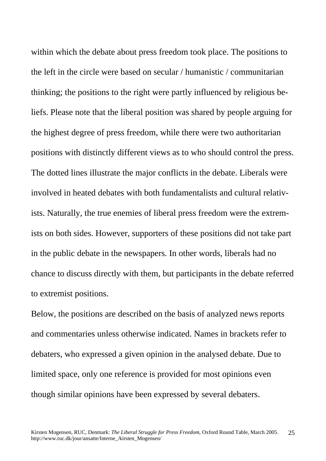within which the debate about press freedom took place. The positions to the left in the circle were based on secular / humanistic / communitarian thinking; the positions to the right were partly influenced by religious beliefs. Please note that the liberal position was shared by people arguing for the highest degree of press freedom, while there were two authoritarian positions with distinctly different views as to who should control the press. The dotted lines illustrate the major conflicts in the debate. Liberals were involved in heated debates with both fundamentalists and cultural relativists. Naturally, the true enemies of liberal press freedom were the extremists on both sides. However, supporters of these positions did not take part in the public debate in the newspapers. In other words, liberals had no chance to discuss directly with them, but participants in the debate referred to extremist positions.

Below, the positions are described on the basis of analyzed news reports and commentaries unless otherwise indicated. Names in brackets refer to debaters, who expressed a given opinion in the analysed debate. Due to limited space, only one reference is provided for most opinions even though similar opinions have been expressed by several debaters.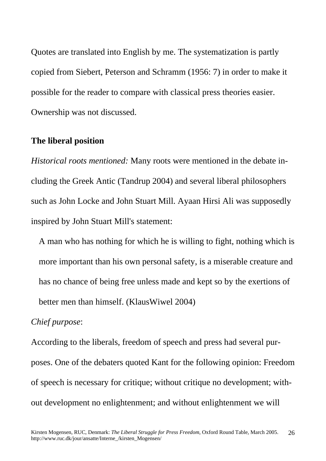<span id="page-25-0"></span>Quotes are translated into English by me. The systematization is partly copied from Siebert, Peterson and Schramm (1956: 7) in order to make it possible for the reader to compare with classical press theories easier. Ownership was not discussed.

#### **The liberal position**

*Historical roots mentioned:* Many roots were mentioned in the debate including the Greek Antic (Tandrup 2004) and several liberal philosophers such as John Locke and John Stuart Mill. Ayaan Hirsi Ali was supposedly inspired by John Stuart Mill's statement:

 A man who has nothing for which he is willing to fight, nothing which is more important than his own personal safety, is a miserable creature and has no chance of being free unless made and kept so by the exertions of better men than himself. (KlausWiwel 2004)

#### *Chief purpose*:

According to the liberals, freedom of speech and press had several purposes. One of the debaters quoted Kant for the following opinion: Freedom of speech is necessary for critique; without critique no development; without development no enlightenment; and without enlightenment we will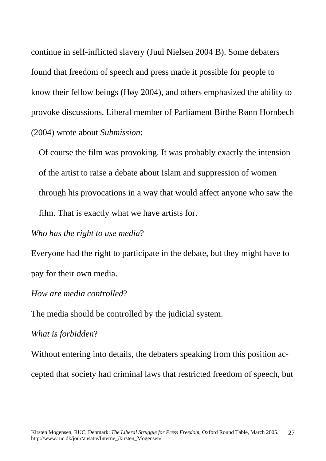continue in self-inflicted slavery (Juul Nielsen 2004 B). Some debaters found that freedom of speech and press made it possible for people to know their fellow beings (Høy 2004), and others emphasized the ability to provoke discussions. Liberal member of Parliament Birthe Rønn Hornbech (2004) wrote about *Submission*:

 Of course the film was provoking. It was probably exactly the intension of the artist to raise a debate about Islam and suppression of women through his provocations in a way that would affect anyone who saw the film. That is exactly what we have artists for.

#### *Who has the right to use media*?

Everyone had the right to participate in the debate, but they might have to pay for their own media.

#### *How are media controlled*?

The media should be controlled by the judicial system.

#### *What is forbidden*?

Without entering into details, the debaters speaking from this position accepted that society had criminal laws that restricted freedom of speech, but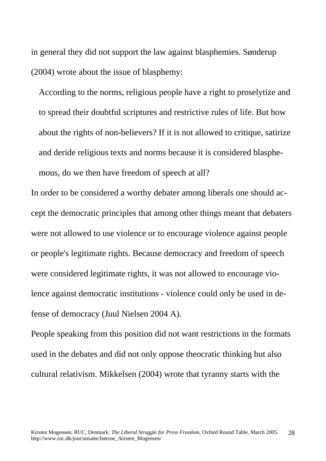in general they did not support the law against blasphemies. Sønderup (2004) wrote about the issue of blasphemy:

 According to the norms, religious people have a right to proselytize and to spread their doubtful scriptures and restrictive rules of life. But how about the rights of non-believers? If it is not allowed to critique, satirize and deride religious texts and norms because it is considered blasphe mous, do we then have freedom of speech at all?

In order to be considered a worthy debater among liberals one should accept the democratic principles that among other things meant that debaters were not allowed to use violence or to encourage violence against people or people's legitimate rights. Because democracy and freedom of speech were considered legitimate rights, it was not allowed to encourage violence against democratic institutions - violence could only be used in defense of democracy (Juul Nielsen 2004 A).

People speaking from this position did not want restrictions in the formats used in the debates and did not only oppose theocratic thinking but also cultural relativism. Mikkelsen (2004) wrote that tyranny starts with the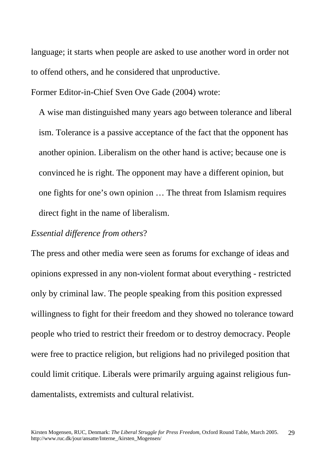language; it starts when people are asked to use another word in order not to offend others, and he considered that unproductive.

Former Editor-in-Chief Sven Ove Gade (2004) wrote:

 A wise man distinguished many years ago between tolerance and liberal ism. Tolerance is a passive acceptance of the fact that the opponent has another opinion. Liberalism on the other hand is active; because one is convinced he is right. The opponent may have a different opinion, but one fights for one's own opinion … The threat from Islamism requires direct fight in the name of liberalism.

#### *Essential difference from others*?

The press and other media were seen as forums for exchange of ideas and opinions expressed in any non-violent format about everything - restricted only by criminal law. The people speaking from this position expressed willingness to fight for their freedom and they showed no tolerance toward people who tried to restrict their freedom or to destroy democracy. People were free to practice religion, but religions had no privileged position that could limit critique. Liberals were primarily arguing against religious fundamentalists, extremists and cultural relativist.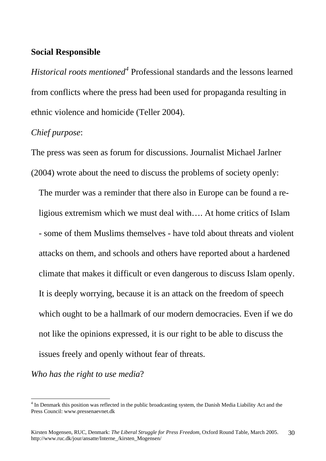#### <span id="page-29-0"></span>**Social Responsible**

*Historical roots mentioned[4](#page-29-1)* Professional standards and the lessons learned from conflicts where the press had been used for propaganda resulting in ethnic violence and homicide (Teller 2004).

### *Chief purpose*:

The press was seen as forum for discussions. Journalist Michael Jarlner (2004) wrote about the need to discuss the problems of society openly:

 The murder was a reminder that there also in Europe can be found a re ligious extremism which we must deal with…. At home critics of Islam - some of them Muslims themselves - have told about threats and violent attacks on them, and schools and others have reported about a hardened climate that makes it difficult or even dangerous to discuss Islam openly. It is deeply worrying, because it is an attack on the freedom of speech which ought to be a hallmark of our modern democracies. Even if we do not like the opinions expressed, it is our right to be able to discuss the issues freely and openly without fear of threats.

*Who has the right to use media*?

 $\overline{a}$ 

<span id="page-29-1"></span><sup>&</sup>lt;sup>4</sup> In Denmark this position was reflected in the public broadcasting system, the Danish Media Liability Act and the Press Council: www.pressenaevnet.dk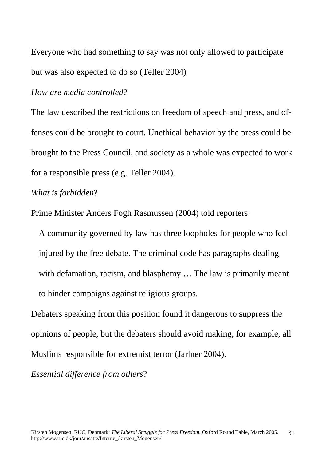Everyone who had something to say was not only allowed to participate but was also expected to do so (Teller 2004)

#### *How are media controlled*?

The law described the restrictions on freedom of speech and press, and offenses could be brought to court. Unethical behavior by the press could be brought to the Press Council, and society as a whole was expected to work for a responsible press (e.g. Teller 2004).

#### *What is forbidden*?

Prime Minister Anders Fogh Rasmussen (2004) told reporters:

 A community governed by law has three loopholes for people who feel injured by the free debate. The criminal code has paragraphs dealing with defamation, racism, and blasphemy ... The law is primarily meant to hinder campaigns against religious groups.

Debaters speaking from this position found it dangerous to suppress the opinions of people, but the debaters should avoid making, for example, all Muslims responsible for extremist terror (Jarlner 2004).

*Essential difference from others*?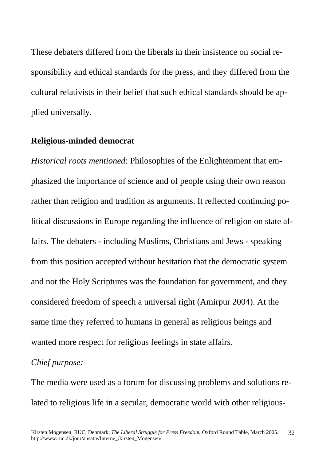<span id="page-31-0"></span>These debaters differed from the liberals in their insistence on social responsibility and ethical standards for the press, and they differed from the cultural relativists in their belief that such ethical standards should be applied universally.

#### **Religious-minded democrat**

*Historical roots mentioned*: Philosophies of the Enlightenment that emphasized the importance of science and of people using their own reason rather than religion and tradition as arguments. It reflected continuing political discussions in Europe regarding the influence of religion on state affairs. The debaters - including Muslims, Christians and Jews - speaking from this position accepted without hesitation that the democratic system and not the Holy Scriptures was the foundation for government, and they considered freedom of speech a universal right (Amirpur 2004). At the same time they referred to humans in general as religious beings and wanted more respect for religious feelings in state affairs.

#### *Chief purpose:*

The media were used as a forum for discussing problems and solutions related to religious life in a secular, democratic world with other religious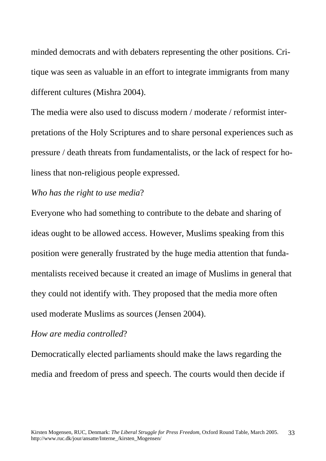minded democrats and with debaters representing the other positions. Critique was seen as valuable in an effort to integrate immigrants from many different cultures (Mishra 2004).

The media were also used to discuss modern / moderate / reformist interpretations of the Holy Scriptures and to share personal experiences such as pressure / death threats from fundamentalists, or the lack of respect for holiness that non-religious people expressed.

#### *Who has the right to use media*?

Everyone who had something to contribute to the debate and sharing of ideas ought to be allowed access. However, Muslims speaking from this position were generally frustrated by the huge media attention that fundamentalists received because it created an image of Muslims in general that they could not identify with. They proposed that the media more often used moderate Muslims as sources (Jensen 2004).

#### *How are media controlled*?

Democratically elected parliaments should make the laws regarding the media and freedom of press and speech. The courts would then decide if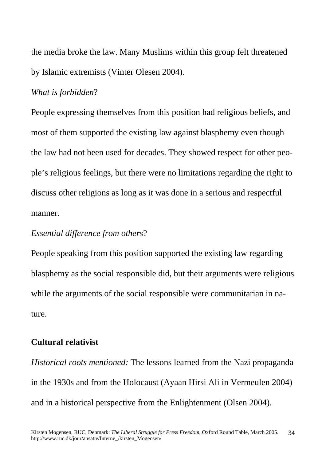<span id="page-33-0"></span>the media broke the law. Many Muslims within this group felt threatened by Islamic extremists (Vinter Olesen 2004).

#### *What is forbidden*?

People expressing themselves from this position had religious beliefs, and most of them supported the existing law against blasphemy even though the law had not been used for decades. They showed respect for other people's religious feelings, but there were no limitations regarding the right to discuss other religions as long as it was done in a serious and respectful manner.

#### *Essential difference from others*?

People speaking from this position supported the existing law regarding blasphemy as the social responsible did, but their arguments were religious while the arguments of the social responsible were communitarian in nature.

### **Cultural relativist**

*Historical roots mentioned:* The lessons learned from the Nazi propaganda in the 1930s and from the Holocaust (Ayaan Hirsi Ali in Vermeulen 2004) and in a historical perspective from the Enlightenment (Olsen 2004).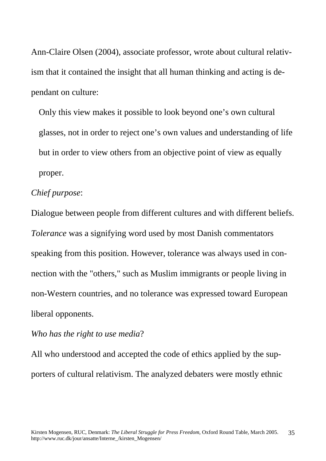Ann-Claire Olsen (2004), associate professor, wrote about cultural relativism that it contained the insight that all human thinking and acting is dependant on culture:

 Only this view makes it possible to look beyond one's own cultural glasses, not in order to reject one's own values and understanding of life but in order to view others from an objective point of view as equally proper.

#### *Chief purpose*:

Dialogue between people from different cultures and with different beliefs. *Tolerance* was a signifying word used by most Danish commentators speaking from this position. However, tolerance was always used in connection with the "others," such as Muslim immigrants or people living in non-Western countries, and no tolerance was expressed toward European liberal opponents.

#### *Who has the right to use media*?

All who understood and accepted the code of ethics applied by the supporters of cultural relativism. The analyzed debaters were mostly ethnic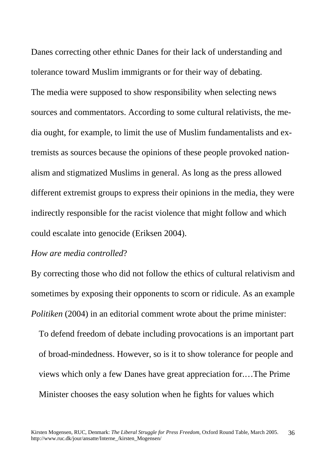Danes correcting other ethnic Danes for their lack of understanding and tolerance toward Muslim immigrants or for their way of debating. The media were supposed to show responsibility when selecting news sources and commentators. According to some cultural relativists, the media ought, for example, to limit the use of Muslim fundamentalists and extremists as sources because the opinions of these people provoked nationalism and stigmatized Muslims in general. As long as the press allowed different extremist groups to express their opinions in the media, they were indirectly responsible for the racist violence that might follow and which could escalate into genocide (Eriksen 2004).

#### *How are media controlled*?

By correcting those who did not follow the ethics of cultural relativism and sometimes by exposing their opponents to scorn or ridicule. As an example *Politiken* (2004) in an editorial comment wrote about the prime minister:

 To defend freedom of debate including provocations is an important part of broad-mindedness. However, so is it to show tolerance for people and views which only a few Danes have great appreciation for.…The Prime Minister chooses the easy solution when he fights for values which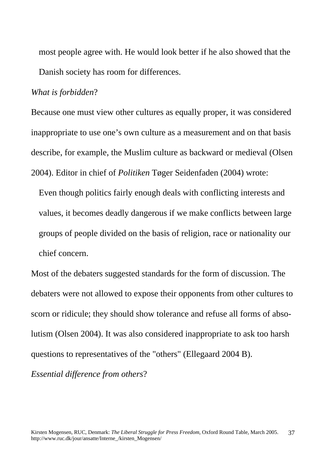most people agree with. He would look better if he also showed that the Danish society has room for differences.

#### *What is forbidden*?

Because one must view other cultures as equally proper, it was considered inappropriate to use one's own culture as a measurement and on that basis describe, for example, the Muslim culture as backward or medieval (Olsen 2004). Editor in chief of *Politiken* Tøger Seidenfaden (2004) wrote:

 Even though politics fairly enough deals with conflicting interests and values, it becomes deadly dangerous if we make conflicts between large groups of people divided on the basis of religion, race or nationality our chief concern.

Most of the debaters suggested standards for the form of discussion. The debaters were not allowed to expose their opponents from other cultures to scorn or ridicule; they should show tolerance and refuse all forms of absolutism (Olsen 2004). It was also considered inappropriate to ask too harsh questions to representatives of the "others" (Ellegaard 2004 B).

*Essential difference from others*?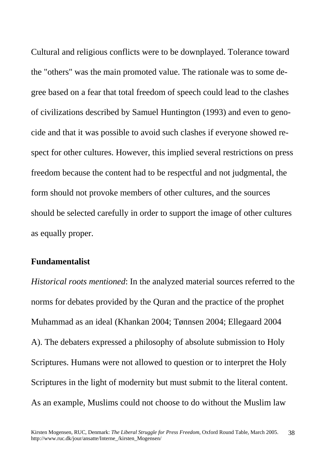<span id="page-37-0"></span>Cultural and religious conflicts were to be downplayed. Tolerance toward the "others" was the main promoted value. The rationale was to some degree based on a fear that total freedom of speech could lead to the clashes of civilizations described by Samuel Huntington (1993) and even to genocide and that it was possible to avoid such clashes if everyone showed respect for other cultures. However, this implied several restrictions on press freedom because the content had to be respectful and not judgmental, the form should not provoke members of other cultures, and the sources should be selected carefully in order to support the image of other cultures as equally proper.

#### **Fundamentalist**

*Historical roots mentioned*: In the analyzed material sources referred to the norms for debates provided by the Quran and the practice of the prophet Muhammad as an ideal (Khankan 2004; Tønnsen 2004; Ellegaard 2004 A). The debaters expressed a philosophy of absolute submission to Holy Scriptures. Humans were not allowed to question or to interpret the Holy Scriptures in the light of modernity but must submit to the literal content. As an example, Muslims could not choose to do without the Muslim law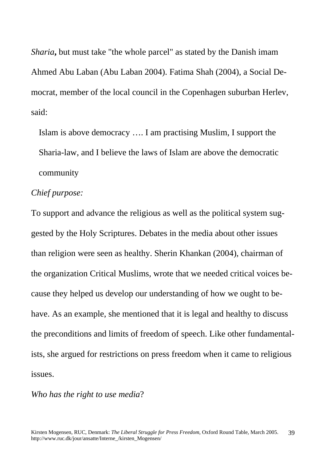*Sharia***,** but must take "the whole parcel" as stated by the Danish imam Ahmed Abu Laban (Abu Laban 2004). Fatima Shah (2004), a Social Democrat, member of the local council in the Copenhagen suburban Herlev, said:

 Islam is above democracy …. I am practising Muslim, I support the Sharia-law, and I believe the laws of Islam are above the democratic community

#### *Chief purpose:*

To support and advance the religious as well as the political system suggested by the Holy Scriptures. Debates in the media about other issues than religion were seen as healthy. Sherin Khankan (2004), chairman of the organization Critical Muslims, wrote that we needed critical voices because they helped us develop our understanding of how we ought to behave. As an example, she mentioned that it is legal and healthy to discuss the preconditions and limits of freedom of speech. Like other fundamentalists, she argued for restrictions on press freedom when it came to religious issues.

*Who has the right to use media*?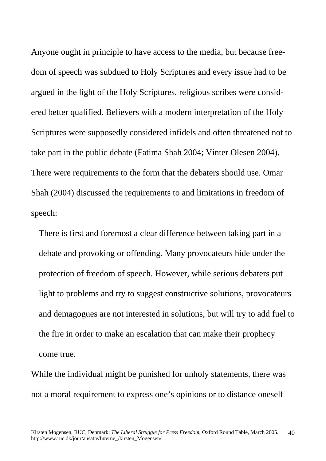Anyone ought in principle to have access to the media, but because freedom of speech was subdued to Holy Scriptures and every issue had to be argued in the light of the Holy Scriptures, religious scribes were considered better qualified. Believers with a modern interpretation of the Holy Scriptures were supposedly considered infidels and often threatened not to take part in the public debate (Fatima Shah 2004; Vinter Olesen 2004). There were requirements to the form that the debaters should use. Omar Shah (2004) discussed the requirements to and limitations in freedom of speech:

 There is first and foremost a clear difference between taking part in a debate and provoking or offending. Many provocateurs hide under the protection of freedom of speech. However, while serious debaters put light to problems and try to suggest constructive solutions, provocateurs and demagogues are not interested in solutions, but will try to add fuel to the fire in order to make an escalation that can make their prophecy come true.

While the individual might be punished for unholy statements, there was not a moral requirement to express one's opinions or to distance oneself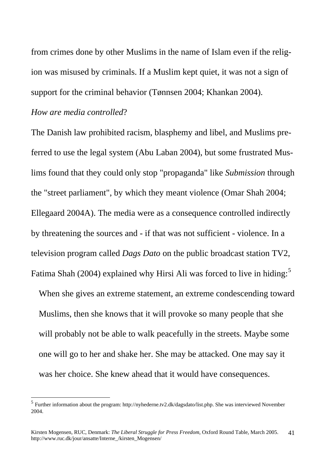from crimes done by other Muslims in the name of Islam even if the religion was misused by criminals. If a Muslim kept quiet, it was not a sign of support for the criminal behavior (Tønnsen 2004; Khankan 2004).

#### *How are media controlled*?

 $\overline{a}$ 

The Danish law prohibited racism, blasphemy and libel, and Muslims preferred to use the legal system (Abu Laban 2004), but some frustrated Muslims found that they could only stop "propaganda" like *Submission* through the "street parliament", by which they meant violence (Omar Shah 2004; Ellegaard 2004A). The media were as a consequence controlled indirectly by threatening the sources and - if that was not sufficient - violence. In a television program called *Dags Dato* on the public broadcast station TV2, Fatima Shah (2004) explained why Hirsi Ali was forced to live in hiding:<sup>[5](#page-40-0)</sup>

 When she gives an extreme statement, an extreme condescending toward Muslims, then she knows that it will provoke so many people that she will probably not be able to walk peacefully in the streets. Maybe some one will go to her and shake her. She may be attacked. One may say it was her choice. She knew ahead that it would have consequences.

<span id="page-40-0"></span><sup>&</sup>lt;sup>5</sup> Further information about the program: http://nyhederne.tv2.dk/dagsdato/list.php. She was interviewed November 2004.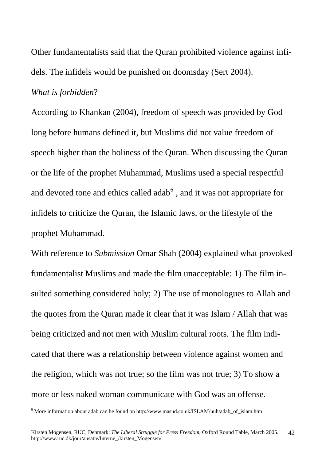Other fundamentalists said that the Quran prohibited violence against infidels. The infidels would be punished on doomsday (Sert 2004).

#### *What is forbidden*?

 $\overline{a}$ 

According to Khankan (2004), freedom of speech was provided by God long before humans defined it, but Muslims did not value freedom of speech higher than the holiness of the Quran. When discussing the Quran or the life of the prophet Muhammad, Muslims used a special respectful and devoted tone and ethics called adab<sup>[6](#page-41-0)</sup>, and it was not appropriate for infidels to criticize the Quran, the Islamic laws, or the lifestyle of the prophet Muhammad.

With reference to *Submission* Omar Shah (2004) explained what provoked fundamentalist Muslims and made the film unacceptable: 1) The film insulted something considered holy; 2) The use of monologues to Allah and the quotes from the Quran made it clear that it was Islam / Allah that was being criticized and not men with Muslim cultural roots. The film indicated that there was a relationship between violence against women and the religion, which was not true; so the film was not true; 3) To show a more or less naked woman communicate with God was an offense.

<span id="page-41-0"></span> $6$  More information about adab can be found on http://www.masud.co.uk/ISLAM/nuh/adab\_of\_islam.htm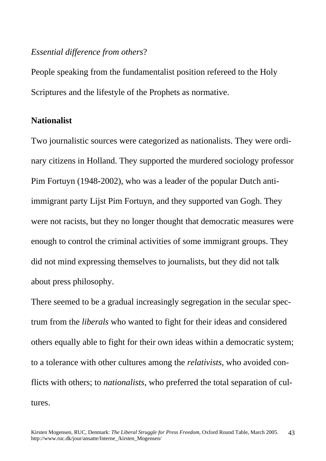#### <span id="page-42-0"></span>*Essential difference from others*?

People speaking from the fundamentalist position refereed to the Holy Scriptures and the lifestyle of the Prophets as normative.

#### **Nationalist**

Two journalistic sources were categorized as nationalists. They were ordinary citizens in Holland. They supported the murdered sociology professor Pim Fortuyn (1948-2002), who was a leader of the popular Dutch antiimmigrant party Lijst Pim Fortuyn, and they supported van Gogh. They were not racists, but they no longer thought that democratic measures were enough to control the criminal activities of some immigrant groups. They did not mind expressing themselves to journalists, but they did not talk about press philosophy.

There seemed to be a gradual increasingly segregation in the secular spectrum from the *liberals* who wanted to fight for their ideas and considered others equally able to fight for their own ideas within a democratic system; to a tolerance with other cultures among the *relativists*, who avoided conflicts with others; to *nationalists*, who preferred the total separation of cultures.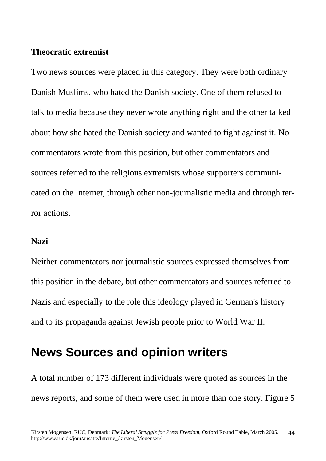#### <span id="page-43-0"></span>**Theocratic extremist**

Two news sources were placed in this category. They were both ordinary Danish Muslims, who hated the Danish society. One of them refused to talk to media because they never wrote anything right and the other talked about how she hated the Danish society and wanted to fight against it. No commentators wrote from this position, but other commentators and sources referred to the religious extremists whose supporters communicated on the Internet, through other non-journalistic media and through terror actions.

#### **Nazi**

Neither commentators nor journalistic sources expressed themselves from this position in the debate, but other commentators and sources referred to Nazis and especially to the role this ideology played in German's history and to its propaganda against Jewish people prior to World War II.

# **News Sources and opinion writers**

A total number of 173 different individuals were quoted as sources in the news reports, and some of them were used in more than one story. Figure 5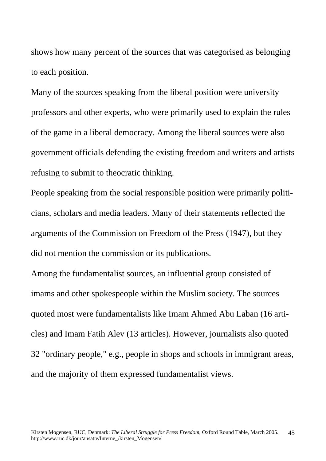shows how many percent of the sources that was categorised as belonging to each position.

Many of the sources speaking from the liberal position were university professors and other experts, who were primarily used to explain the rules of the game in a liberal democracy. Among the liberal sources were also government officials defending the existing freedom and writers and artists refusing to submit to theocratic thinking.

People speaking from the social responsible position were primarily politicians, scholars and media leaders. Many of their statements reflected the arguments of the Commission on Freedom of the Press (1947), but they did not mention the commission or its publications.

Among the fundamentalist sources, an influential group consisted of imams and other spokespeople within the Muslim society. The sources quoted most were fundamentalists like Imam Ahmed Abu Laban (16 articles) and Imam Fatih Alev (13 articles). However, journalists also quoted 32 "ordinary people," e.g., people in shops and schools in immigrant areas, and the majority of them expressed fundamentalist views.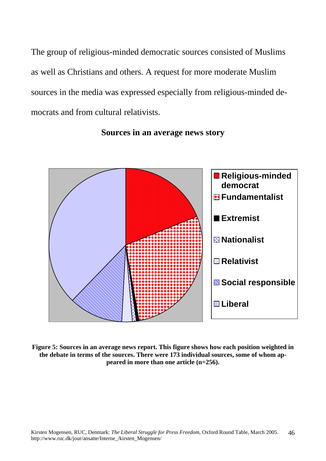The group of religious-minded democratic sources consisted of Muslims as well as Christians and others. A request for more moderate Muslim sources in the media was expressed especially from religious-minded democrats and from cultural relativists.



**Sources in an average news story** 

**Figure 5: Sources in an average news report. This figure shows how each position weighted in the debate in terms of the sources. There were 173 individual sources, some of whom appeared in more than one article (n=256).**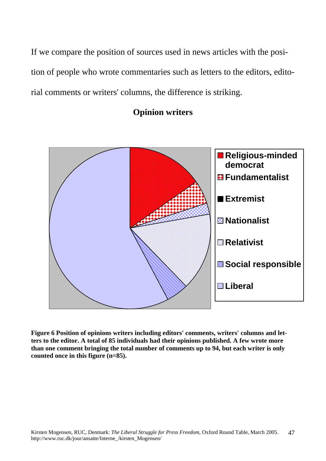If we compare the position of sources used in news articles with the position of people who wrote commentaries such as letters to the editors, editorial comments or writers' columns, the difference is striking.

### **Opinion writers**



**Figure 6 Position of opinions writers including editors' comments, writers' columns and letters to the editor. A total of 85 individuals had their opinions published. A few wrote more than one comment bringing the total number of comments up to 94, but each writer is only counted once in this figure (n=85).**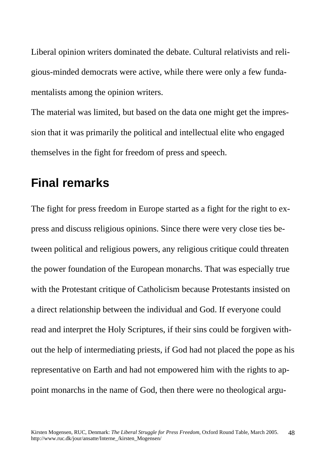<span id="page-47-0"></span>Liberal opinion writers dominated the debate. Cultural relativists and religious-minded democrats were active, while there were only a few fundamentalists among the opinion writers.

The material was limited, but based on the data one might get the impression that it was primarily the political and intellectual elite who engaged themselves in the fight for freedom of press and speech.

## **Final remarks**

The fight for press freedom in Europe started as a fight for the right to express and discuss religious opinions. Since there were very close ties between political and religious powers, any religious critique could threaten the power foundation of the European monarchs. That was especially true with the Protestant critique of Catholicism because Protestants insisted on a direct relationship between the individual and God. If everyone could read and interpret the Holy Scriptures, if their sins could be forgiven without the help of intermediating priests, if God had not placed the pope as his representative on Earth and had not empowered him with the rights to appoint monarchs in the name of God, then there were no theological argu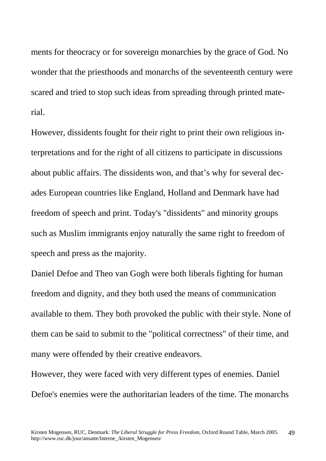ments for theocracy or for sovereign monarchies by the grace of God. No wonder that the priesthoods and monarchs of the seventeenth century were scared and tried to stop such ideas from spreading through printed material.

However, dissidents fought for their right to print their own religious interpretations and for the right of all citizens to participate in discussions about public affairs. The dissidents won, and that's why for several decades European countries like England, Holland and Denmark have had freedom of speech and print. Today's "dissidents" and minority groups such as Muslim immigrants enjoy naturally the same right to freedom of speech and press as the majority.

Daniel Defoe and Theo van Gogh were both liberals fighting for human freedom and dignity, and they both used the means of communication available to them. They both provoked the public with their style. None of them can be said to submit to the "political correctness" of their time, and many were offended by their creative endeavors.

However, they were faced with very different types of enemies. Daniel Defoe's enemies were the authoritarian leaders of the time. The monarchs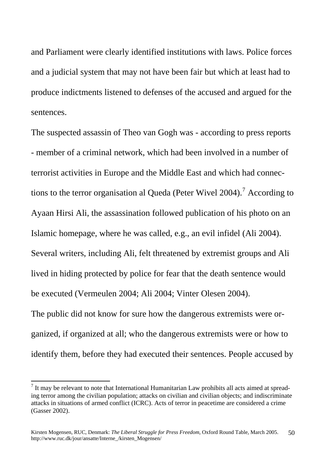and Parliament were clearly identified institutions with laws. Police forces and a judicial system that may not have been fair but which at least had to produce indictments listened to defenses of the accused and argued for the sentences.

The suspected assassin of Theo van Gogh was - according to press reports - member of a criminal network, which had been involved in a number of terrorist activities in Europe and the Middle East and which had connec-tions to the terror organisation al Queda (Peter Wivel 2004).<sup>[7](#page-49-0)</sup> According to Ayaan Hirsi Ali, the assassination followed publication of his photo on an Islamic homepage, where he was called, e.g., an evil infidel (Ali 2004). Several writers, including Ali, felt threatened by extremist groups and Ali lived in hiding protected by police for fear that the death sentence would be executed (Vermeulen 2004; Ali 2004; Vinter Olesen 2004). The public did not know for sure how the dangerous extremists were organized, if organized at all; who the dangerous extremists were or how to identify them, before they had executed their sentences. People accused by

 $\overline{a}$ 

<span id="page-49-0"></span> $<sup>7</sup>$  It may be relevant to note that International Humanitarian Law prohibits all acts aimed at spread-</sup> ing terror among the civilian population; attacks on civilian and civilian objects; and indiscriminate attacks in situations of armed conflict (ICRC). Acts of terror in peacetime are considered a crime (Gasser 2002).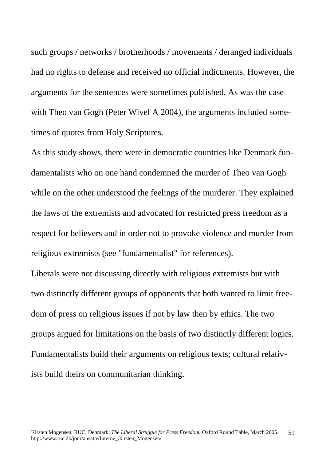such groups / networks / brotherhoods / movements / deranged individuals had no rights to defense and received no official indictments. However, the arguments for the sentences were sometimes published. As was the case with Theo van Gogh (Peter Wivel A 2004), the arguments included sometimes of quotes from Holy Scriptures.

As this study shows, there were in democratic countries like Denmark fundamentalists who on one hand condemned the murder of Theo van Gogh while on the other understood the feelings of the murderer. They explained the laws of the extremists and advocated for restricted press freedom as a respect for believers and in order not to provoke violence and murder from religious extremists (see "fundamentalist" for references).

Liberals were not discussing directly with religious extremists but with two distinctly different groups of opponents that both wanted to limit freedom of press on religious issues if not by law then by ethics. The two groups argued for limitations on the basis of two distinctly different logics. Fundamentalists build their arguments on religious texts; cultural relativists build theirs on communitarian thinking.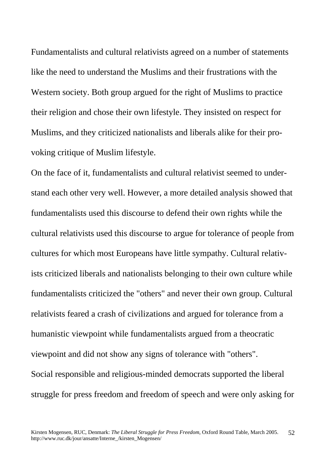Fundamentalists and cultural relativists agreed on a number of statements like the need to understand the Muslims and their frustrations with the Western society. Both group argued for the right of Muslims to practice their religion and chose their own lifestyle. They insisted on respect for Muslims, and they criticized nationalists and liberals alike for their provoking critique of Muslim lifestyle.

On the face of it, fundamentalists and cultural relativist seemed to understand each other very well. However, a more detailed analysis showed that fundamentalists used this discourse to defend their own rights while the cultural relativists used this discourse to argue for tolerance of people from cultures for which most Europeans have little sympathy. Cultural relativists criticized liberals and nationalists belonging to their own culture while fundamentalists criticized the "others" and never their own group. Cultural relativists feared a crash of civilizations and argued for tolerance from a humanistic viewpoint while fundamentalists argued from a theocratic viewpoint and did not show any signs of tolerance with "others". Social responsible and religious-minded democrats supported the liberal struggle for press freedom and freedom of speech and were only asking for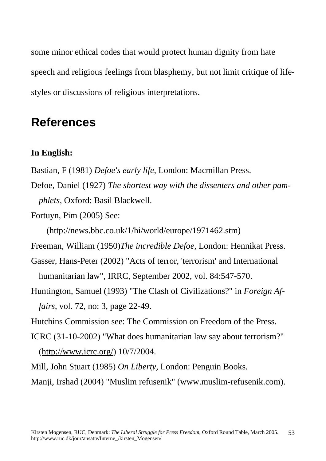<span id="page-52-0"></span>some minor ethical codes that would protect human dignity from hate speech and religious feelings from blasphemy, but not limit critique of lifestyles or discussions of religious interpretations.

# **References**

### **In English:**

- Bastian, F (1981) *Defoe's early life*, London: Macmillan Press.
- Defoe, Daniel (1927) *The shortest way with the dissenters and other pamphlets*, Oxford: Basil Blackwell.
- Fortuyn, Pim (2005) See:

(http://news.bbc.co.uk/1/hi/world/europe/1971462.stm)

Freeman, William (1950)*The incredible Defoe,* London: Hennikat Press.

- Gasser, Hans-Peter (2002) "Acts of terror, 'terrorism' and International humanitarian law", IRRC, September 2002, vol. 84:547-570.
- Huntington, Samuel (1993) "The Clash of Civilizations?" in *Foreign Affairs*, vol. 72, no: 3, page 22-49.

Hutchins Commission see: The Commission on Freedom of the Press.

- ICRC (31-10-2002) "What does humanitarian law say about terrorism?" (http://www.icrc.org/) 10/7/2004.
- Mill, John Stuart (1985) *On Liberty*, London: Penguin Books.

Manji, Irshad (2004) "Muslim refusenik" (www.muslim-refusenik.com).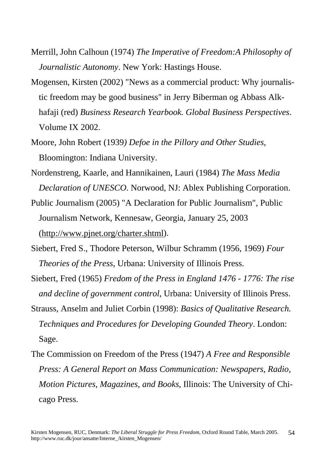- Merrill, John Calhoun (1974) *The Imperative of Freedom:A Philosophy of Journalistic Autonomy*. New York: Hastings House.
- Mogensen, Kirsten (2002) "News as a commercial product: Why journalistic freedom may be good business" in Jerry Biberman og Abbass Alkhafaji (red) *Business Research Yearbook. Global Business Perspectives*. Volume IX 2002.
- Moore, John Robert (1939*) Defoe in the Pillory and Other Studies*, Bloomington: Indiana University.
- Nordenstreng, Kaarle, and Hannikainen, Lauri (1984) *The Mass Media Declaration of UNESCO*. Norwood, NJ: Ablex Publishing Corporation.
- Public Journalism (2005) "A Declaration for Public Journalism", Public Journalism Network, Kennesaw, Georgia, January 25, 2003 (http://www.pjnet.org/charter.shtml).
- Siebert, Fred S., Thodore Peterson, Wilbur Schramm (1956, 1969) *Four Theories of the Press*, Urbana: University of Illinois Press.
- Siebert, Fred (1965) *Fredom of the Press in England 1476 1776: The rise and decline of government control*, Urbana: University of Illinois Press.
- Strauss, Anselm and Juliet Corbin (1998): *Basics of Qualitative Research. Techniques and Procedures for Developing Gounded Theory*. London: Sage.
- The Commission on Freedom of the Press (1947) *A Free and Responsible Press: A General Report on Mass Communication: Newspapers, Radio, Motion Pictures, Magazines, and Books*, Illinois: The University of Chicago Press.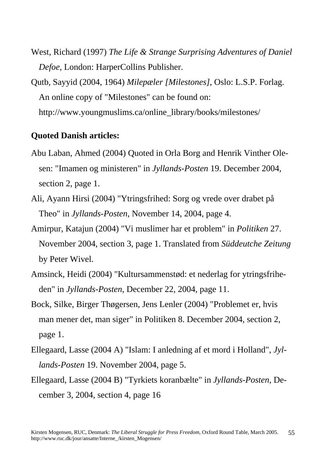<span id="page-54-0"></span>West, Richard (1997) *The Life & Strange Surprising Adventures of Daniel Defoe*, London: HarperCollins Publisher.

Qutb, Sayyid (2004, 1964) *Milepæler [Milestones]*, Oslo: L.S.P. Forlag. An online copy of "Milestones" can be found on: http://www.youngmuslims.ca/online\_library/books/milestones/

#### **Quoted Danish articles:**

- Abu Laban, Ahmed (2004) Quoted in Orla Borg and Henrik Vinther Olesen: "Imamen og ministeren" in *Jyllands-Posten* 19. December 2004, section 2, page 1.
- Ali, Ayann Hirsi (2004) "Ytringsfrihed: Sorg og vrede over drabet på Theo" in *Jyllands-Posten*, November 14, 2004, page 4.
- Amirpur, Katajun (2004) "Vi muslimer har et problem" in *Politiken* 27. November 2004, section 3, page 1. Translated from *Süddeutche Zeitung* by Peter Wivel.
- Amsinck, Heidi (2004) "Kultursammenstød: et nederlag for ytringsfriheden" in *Jyllands-Posten*, December 22, 2004, page 11.
- Bock, Silke, Birger Thøgersen, Jens Lenler (2004) "Problemet er, hvis man mener det, man siger" in Politiken 8. December 2004, section 2, page 1.
- Ellegaard, Lasse (2004 A) "Islam: I anledning af et mord i Holland", *Jyllands-Posten* 19. November 2004, page 5.
- Ellegaard, Lasse (2004 B) "Tyrkiets koranbælte" in *Jyllands-Posten*, December 3, 2004, section 4, page 16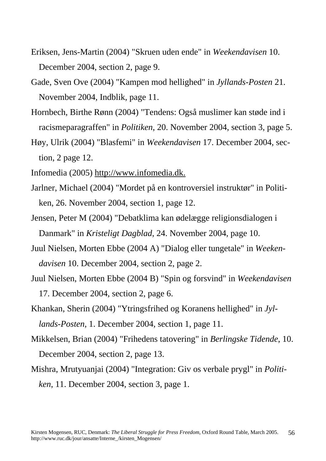- Eriksen, Jens-Martin (2004) "Skruen uden ende" in *Weekendavisen* 10. December 2004, section 2, page 9.
- Gade, Sven Ove (2004) "Kampen mod hellighed" in *Jyllands-Posten* 21. November 2004, Indblik, page 11.
- Hornbech, Birthe Rønn (2004) "Tendens: Også muslimer kan støde ind i racismeparagraffen" in *Politiken*, 20. November 2004, section 3, page 5.
- Høy, Ulrik (2004) "Blasfemi" in *Weekendavisen* 17. December 2004, section, 2 page 12.
- Infomedia (2005) http://www.infomedia.dk.
- Jarlner, Michael (2004) "Mordet på en kontroversiel instruktør" in Politiken, 26. November 2004, section 1, page 12.
- Jensen, Peter M (2004) "Debatklima kan ødelægge religionsdialogen i Danmark" in *Kristeligt Dagblad*, 24. November 2004, page 10.
- Juul Nielsen, Morten Ebbe (2004 A) "Dialog eller tungetale" in *Weekendavisen* 10. December 2004, section 2, page 2.
- Juul Nielsen, Morten Ebbe (2004 B) "Spin og forsvind" in *Weekendavisen* 17. December 2004, section 2, page 6.
- Khankan, Sherin (2004) "Ytringsfrihed og Koranens hellighed" in *Jyllands-Posten*, 1. December 2004, section 1, page 11.
- Mikkelsen, Brian (2004) "Frihedens tatovering" in *Berlingske Tidende*, 10. December 2004, section 2, page 13.
- Mishra, Mrutyuanjai (2004) "Integration: Giv os verbale prygl" in *Politiken*, 11. December 2004, section 3, page 1.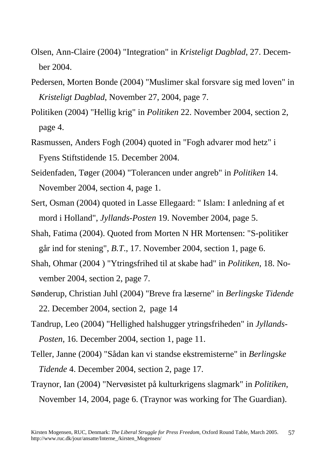- Olsen, Ann-Claire (2004) "Integration" in *Kristeligt Dagblad*, 27. December 2004.
- Pedersen, Morten Bonde (2004) "Muslimer skal forsvare sig med loven" in *Kristeligt Dagblad*, November 27, 2004, page 7.
- Politiken (2004) "Hellig krig" in *Politiken* 22. November 2004, section 2, page 4.
- Rasmussen, Anders Fogh (2004) quoted in "Fogh advarer mod hetz" i Fyens Stiftstidende 15. December 2004.
- Seidenfaden, Tøger (2004) "Tolerancen under angreb" in *Politiken* 14. November 2004, section 4, page 1.
- Sert, Osman (2004) quoted in Lasse Ellegaard: " Islam: I anledning af et mord i Holland", *Jyllands-Posten* 19. November 2004, page 5.
- Shah, Fatima (2004). Quoted from Morten N HR Mortensen: "S-politiker går ind for stening", *B.T*., 17. November 2004, section 1, page 6.
- Shah, Ohmar (2004 ) "Ytringsfrihed til at skabe had" in *Politiken*, 18. November 2004, section 2, page 7.
- Sønderup, Christian Juhl (2004) "Breve fra læserne" in *Berlingske Tidende* 22. December 2004, section 2, page 14
- Tandrup, Leo (2004) "Hellighed halshugger ytringsfriheden" in *Jyllands-Posten*, 16. December 2004, section 1, page 11.
- Teller, Janne (2004) "Sådan kan vi standse ekstremisterne" in *Berlingske Tidende* 4. December 2004, section 2, page 17.
- Traynor, Ian (2004) "Nervøsistet på kulturkrigens slagmark" in *Politiken*, November 14, 2004, page 6. (Traynor was working for The Guardian).